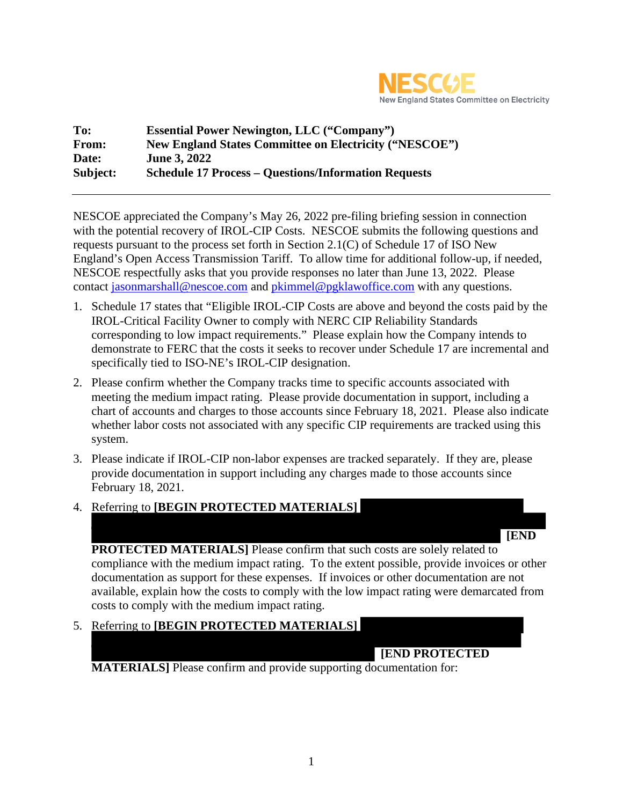

| To:      | <b>Essential Power Newington, LLC ("Company")</b>             |
|----------|---------------------------------------------------------------|
| From:    | <b>New England States Committee on Electricity ("NESCOE")</b> |
| Date:    | <b>June 3, 2022</b>                                           |
| Subject: | <b>Schedule 17 Process – Questions/Information Requests</b>   |

NESCOE appreciated the Company's May 26, 2022 pre-filing briefing session in connection with the potential recovery of IROL-CIP Costs. NESCOE submits the following questions and requests pursuant to the process set forth in Section 2.1(C) of Schedule 17 of ISO New England's Open Access Transmission Tariff. To allow time for additional follow-up, if needed, NESCOE respectfully asks that you provide responses no later than June 13, 2022. Please contact jasonmarshall@nescoe.com and pkimmel@pgklawoffice.com with any questions.

- 1. Schedule 17 states that "Eligible IROL-CIP Costs are above and beyond the costs paid by the IROL-Critical Facility Owner to comply with NERC CIP Reliability Standards corresponding to low impact requirements." Please explain how the Company intends to demonstrate to FERC that the costs it seeks to recover under Schedule 17 are incremental and specifically tied to ISO-NE's IROL-CIP designation.
- 2. Please confirm whether the Company tracks time to specific accounts associated with meeting the medium impact rating. Please provide documentation in support, including a chart of accounts and charges to those accounts since February 18, 2021. Please also indicate whether labor costs not associated with any specific CIP requirements are tracked using this system.
- 3. Please indicate if IROL-CIP non-labor expenses are tracked separately. If they are, please provide documentation in support including any charges made to those accounts since February 18, 2021.
- 4. Referring to **[BEGIN PROTECTED MATERIALS]**



**PROTECTED MATERIALS**] Please confirm that such costs are solely related to compliance with the medium impact rating. To the extent possible, provide invoices or other documentation as support for these expenses. If invoices or other documentation are not available, explain how the costs to comply with the low impact rating were demarcated from costs to comply with the medium impact rating.

5. Referring to **[BEGIN PROTECTED MATERIALS]**

## **[END PROTECTED**

**MATERIALS]** Please confirm and provide supporting documentation for: